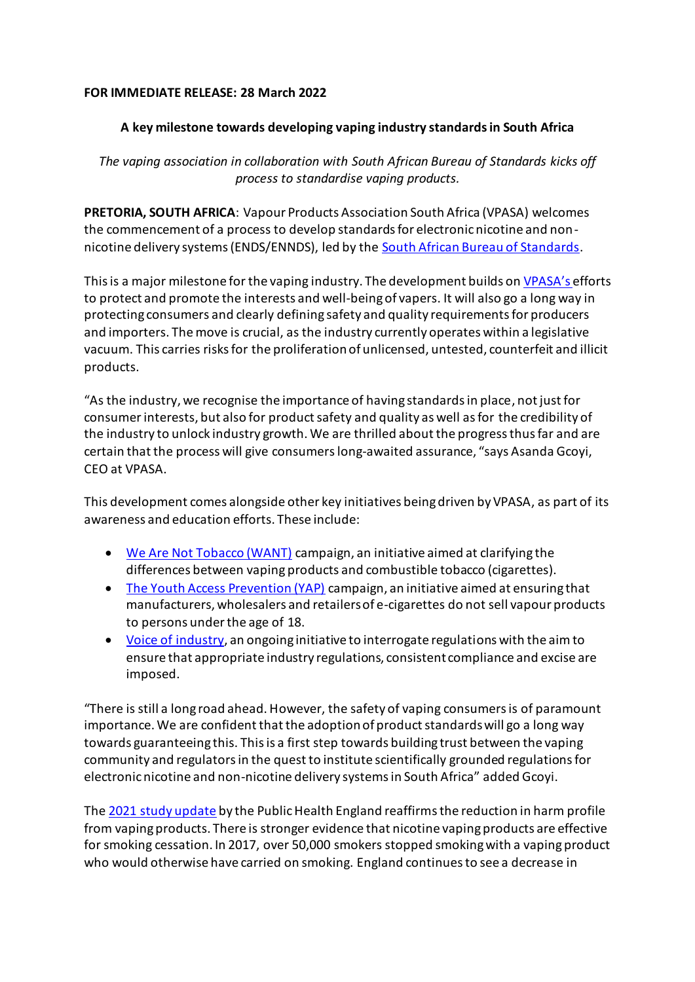## **FOR IMMEDIATE RELEASE: 28 March 2022**

## **A key milestone towards developing vaping industry standardsin South Africa**

*The vaping association in collaboration with South African Bureau of Standards kicks off process to standardise vaping products.*

**PRETORIA, SOUTH AFRICA**: Vapour Products Association South Africa (VPASA) welcomes the commencement of a process to develop standards for electronic nicotine and nonnicotine delivery systems (ENDS/ENNDS), led by the [South African Bureau of Standards.](https://www.sabs.co.za/Standardss/index.asp)

This is a major milestone for the vaping industry. The development builds on [VPASA](https://vpasa.org.za/)'s efforts to protect and promote the interests and well-being of vapers. It will also go a long way in protecting consumers and clearly defining safety and quality requirements for producers and importers. The move is crucial, as the industry currently operates within a legislative vacuum. This carries risks for the proliferation of unlicensed, untested, counterfeit and illicit products.

"As the industry, we recognise the importance of having standards in place, not just for consumerinterests, but also for product safety and quality as well as for the credibility of the industry to unlock industry growth. We are thrilled about the progress thus far and are certain that the process will give consumerslong-awaited assurance, "says Asanda Gcoyi, CEO at VPASA.

This development comes alongside other key initiatives being driven by VPASA, as part of its awareness and education efforts. These include:

- [We Are Not Tobacco \(WANT\)](https://vpasa.org.za/resources/) campaign, an initiative aimed at clarifying the differences between vaping products and combustible tobacco (cigarettes).
- [The Youth Access Prevention \(YAP\)](https://vpasa.org.za/wp-content/uploads/2021/09/YAP-Pack.pdf) campaign, an initiative aimed at ensuring that manufacturers, wholesalers and retailers of e-cigarettes do not sell vapour products to persons under the age of 18.
- [Voice of industry,](https://vpasa.org.za/resources/) an ongoing initiative to interrogate regulations with the aim to ensure that appropriate industry regulations, consistent compliance and excise are imposed.

"There is still a long road ahead. However, the safety of vaping consumers is of paramount importance. We are confident that the adoption of product standards will go a long way towards guaranteeing this. This is a first step towards building trust between the vaping community and regulators in the quest to institute scientifically grounded regulations for electronic nicotine and non-nicotine delivery systems in South Africa" added Gcoyi.

The [2021 study update](https://www.gov.uk/government/publications/vaping-in-england-evidence-update-february-2021/vaping-in-england-2021-evidence-update-summary#authors-and-citation) by the Public Health England reaffirmsthe reduction in harm profile from vaping products. There is stronger evidence that nicotine vaping products are effective for smoking cessation. In 2017, over 50,000 smokers stopped smoking with a vaping product who would otherwise have carried on smoking. England continues to see a decrease in